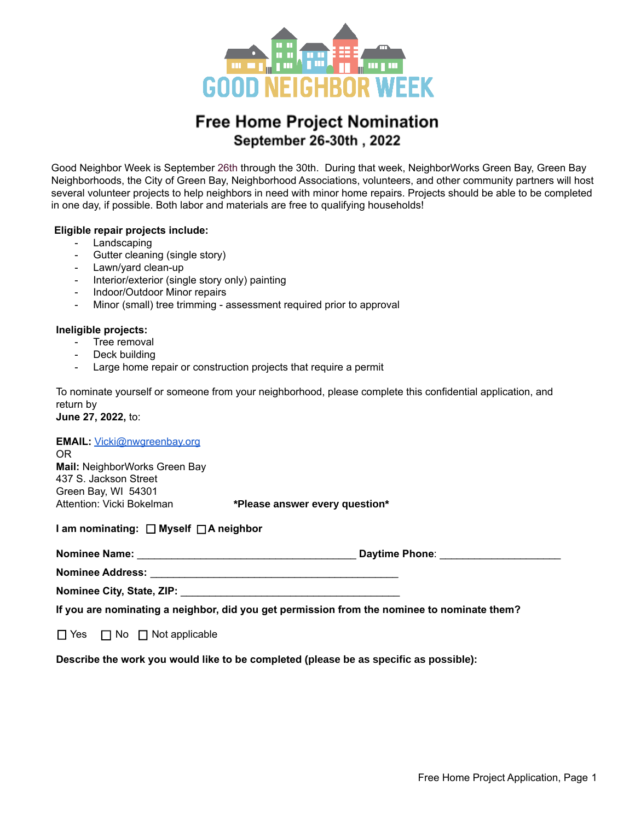

# **Free Home Project Nomination** September 26-30th, 2022

Good Neighbor Week is September 26th through the 30th. During that week, NeighborWorks Green Bay, Green Bay Neighborhoods, the City of Green Bay, Neighborhood Associations, volunteers, and other community partners will host several volunteer projects to help neighbors in need with minor home repairs. Projects should be able to be completed in one day, if possible. Both labor and materials are free to qualifying households!

### **Eligible repair projects include:**

- Landscaping
- Gutter cleaning (single story)
- Lawn/yard clean-up
- Interior/exterior (single story only) painting
- Indoor/Outdoor Minor repairs
- Minor (small) tree trimming assessment required prior to approval

#### **Ineligible projects:**

- Tree removal
- Deck building
- Large home repair or construction projects that require a permit

To nominate yourself or someone from your neighborhood, please complete this confidential application, and return by

**June 27, 2022,** to:

#### EMAIL: [Vicki@nwgreenbay.org](mailto:Vicki@nwgreenbay.org)

OR **Mail:** NeighborWorks Green Bay 437 S. Jackson Street Green Bay, WI 54301 Attention: Vicki Bokelman **\*Please answer every question\***

**I am nominating: Myself A neighbor**

| <b>Nominee Name:</b> | <b>Davtime Phone:</b> |  |
|----------------------|-----------------------|--|
|----------------------|-----------------------|--|

**Nominee Address:** \_\_\_\_\_\_\_\_\_\_\_\_\_\_\_\_\_\_\_\_\_\_\_\_\_\_\_\_\_\_\_\_\_\_\_\_\_\_\_\_\_\_\_

**Nominee City, State, ZIP:** \_\_\_\_\_\_\_\_\_\_\_\_\_\_\_\_\_\_\_\_\_\_\_\_\_\_\_\_\_\_\_\_\_\_\_\_\_\_

**If you are nominating a neighbor, did you get permission from the nominee to nominate them?**

 $\Box$  Yes  $\Box$  No  $\Box$  Not applicable

**Describe the work you would like to be completed (please be as specific as possible):**